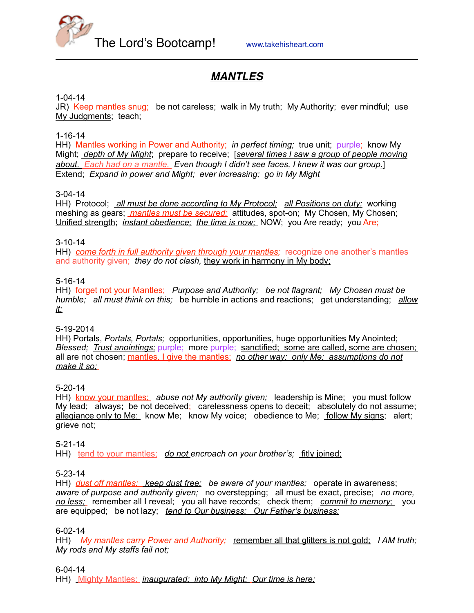

# *MANTLES*

#### 1-04-14

JR) Keep mantles snug; be not careless; walk in My truth; My Authority; ever mindful; use My Judgments; teach;

1-16-14

HH) Mantles working in Power and Authority; *in perfect timing;* true unit; purple; know My Might; *depth of My Might*; prepare to receive; [*several times I saw a group of people moving about. Each had on a mantle. Even though I didn't see faces, I knew it was our group.*] Extend; *Expand in power and Might; ever increasing; go in My Might*

#### 3-04-14

HH) Protocol; *all must be done according to My Protocol; all Positions on duty;* working meshing as gears; *mantles must be secured;* attitudes, spot-on; My Chosen, My Chosen; Unified strength; *instant obedience; the time is now;* NOW; you Are ready; you Are;

#### 3-10-14

HH) *come forth in full authority given through your mantles;* recognize one another's mantles and authority given; *they do not clash,* they work in harmony in My body;

#### 5-16-14

HH) forget not your Mantles; *Purpose and Authority; be not flagrant; My Chosen must be humble; all must think on this;* be humble in actions and reactions; get understanding; *allow it;*

#### 5-19-2014

HH) Portals, *Portals, Portals;* opportunities, opportunities, huge opportunities My Anointed; *Blessed; Trust anointings; purple; more purple; sanctified; some are called, some are chosen;* all are not chosen; mantles, I give the mantles; *no other way; only Me; assumptions do not make it so;*

5-20-14

HH) know your mantles; *abuse not My authority given;* leadership is Mine; you must follow My lead; always**;** be not deceived; carelessness opens to deceit; absolutely do not assume; allegiance only to Me; know Me; know My voice; obedience to Me; follow My signs; alert; grieve not;

#### 5-21-14

HH) tend to your mantles; *do not encroach on your brother's;* fitly joined;

#### 5-23-14

HH) *dust off mantles; keep dust free; be aware of your mantles;* operate in awareness; *aware of purpose and authority given;* no overstepping; all must be exact, precise; *no more, no less;* remember all I reveal; you all have records; check them; *commit to memory;* you are equipped; be not lazy; *tend to Our business; Our Father's business;*

#### 6-02-14

HH) *My mantles carry Power and Authority;* remember all that glitters is not gold; *I AM truth; My rods and My staffs fail not;*

#### 6-04-14

HH) Mighty Mantles; *inaugurated; into My Might; Our time is here;*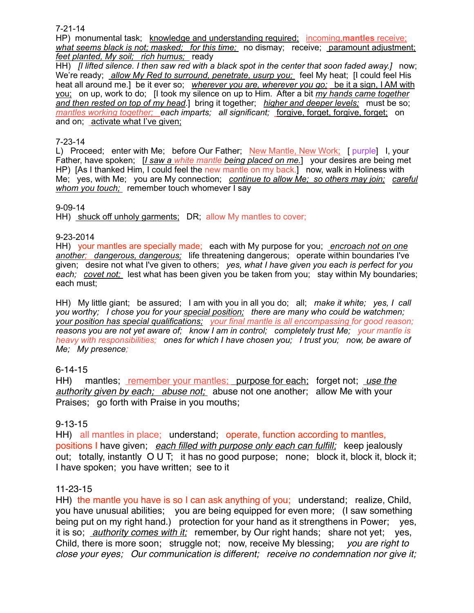7-21-14

HP) monumental task; knowledge and understanding required; incoming,**mantles** receive; *what seems black is not; masked; for this time;* no dismay; receive; paramount adjustment; *feet planted, My soil; rich humus;* ready

HH) *II lifted silence. I then saw red with a black spot in the center that soon faded away.*] now; We're ready; *allow My Red to surround, penetrate, usurp you;* feel My heat; [I could feel His heat all around me.] be it ever so; *wherever you are, wherever you go;* be it a sign, I AM with you; on up, work to do; [I took my silence on up to Him. After a bit *my hands came together and then rested on top of my head*.] bring it together; *higher and deeper levels;* must be so; *mantles working together;* each *imparts; all significant; <u>forgive</u>, forget, forgive, forget; on* and on; activate what I've given;

#### 7-23-14

L) Proceed; enter with Me; before Our Father; New Mantle, New Work; [ purple] I, your Father, have spoken; [*I saw a white mantle being placed on me.*] your desires are being met HP) IAs I thanked Him, I could feel the new mantle on my back.] now, walk in Holiness with Me; yes, with Me; you are My connection; *continue to allow Me; so others may join; careful whom you touch;* remember touch whomever I say

#### 9-09-14

HH) shuck off unholy garments; DR; allow My mantles to cover;

#### 9-23-2014

HH) your mantles are specially made; each with My purpose for you; *encroach not on one another; dangerous, dangerous;* life threatening dangerous; operate within boundaries I've given;desire not what I've given to others; *yes, what I have given you each is perfect for you each; covet not;* lest what has been given you be taken from you; stay within My boundaries; each must;

HH) My little giant; be assured; I am with you in all you do; all; *make it white; yes, I call you worthy; I chose you for your special position; there are many who could be watchmen; your position has special qualifications; your final mantle is all encompassing for good reason; reasons you are not yet aware of; know I am in control; completely trust Me; your mantle is heavy with responsibilities; ones for which I have chosen you; I trust you; now, be aware of Me; My presence;*

# 6-14-15

HH) mantles; remember your mantles; purpose for each; forget not; *use the authority given by each; abuse not;* abuse not one another; allow Me with your Praises; go forth with Praise in you mouths;

# 9-13-15

HH) all mantles in place; understand; operate, function according to mantles, positions I have given; *each filled with purpose only each can fulfill;* keep jealously out; totally, instantly O U T; it has no good purpose; none; block it, block it, block it; I have spoken; you have written; see to it

# 11-23-15

HH) the mantle you have is so I can ask anything of you; understand; realize, Child, you have unusual abilities; you are being equipped for even more; (I saw something being put on my right hand.) protection for your hand as it strengthens in Power; yes, it is so; *authority comes with it;* remember, by Our right hands; share not yet; yes, Child, there is more soon; struggle not; now, receive My blessing; *you are right to close your eyes; Our communication is different; receive no condemnation nor give it;*